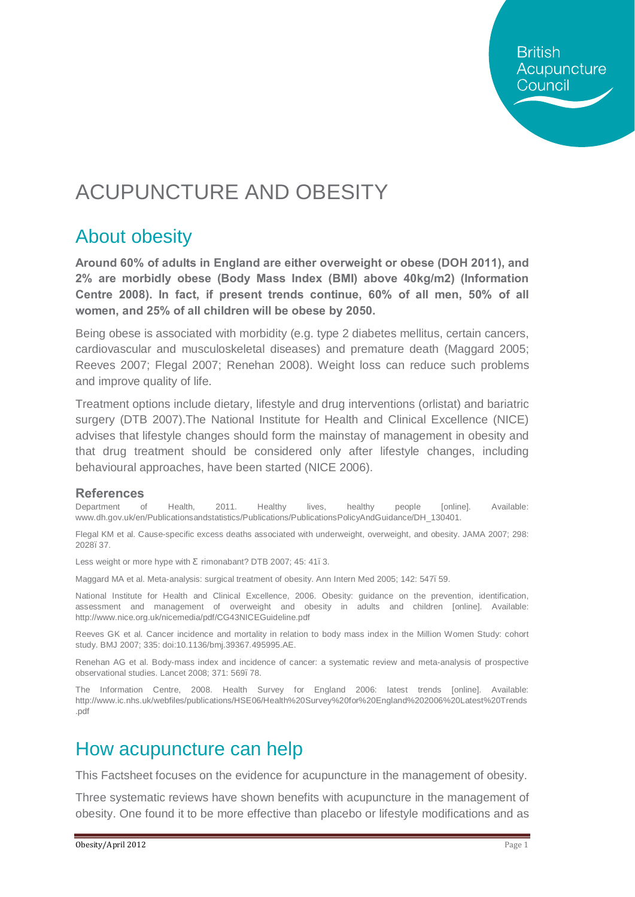**British** Acupuncture Council

# ACUPUNCTURE AND OBESITY

### About obesity

**Around 60% of adults in England are either overweight or obese (DOH 2011), and 2% are morbidly obese (Body Mass Index (BMI) above 40kg/m2) (Information Centre 2008). In fact, if present trends continue, 60% of all men, 50% of all women, and 25% of all children will be obese by 2050.** 

Being obese is associated with morbidity (e.g. type 2 diabetes mellitus, certain cancers, cardiovascular and musculoskeletal diseases) and premature death (Maggard 2005; Reeves 2007; Flegal 2007; Renehan 2008). Weight loss can reduce such problems and improve quality of life.

Treatment options include dietary, lifestyle and drug interventions (orlistat) and bariatric surgery (DTB 2007).The National Institute for Health and Clinical Excellence (NICE) advises that lifestyle changes should form the mainstay of management in obesity and that drug treatment should be considered only after lifestyle changes, including behavioural approaches, have been started (NICE 2006).

#### **References**

Department of Health, 2011. Healthy lives, healthy people [online]. Available: [www.dh.gov.uk/en/Publicationsandstatistics/Publications/PublicationsPolicyAndGuidance/DH\\_130401.](http://www.dh.gov.uk/en/Publicationsandstatistics/Publications/PublicationsPolicyAndGuidance/DH_130401)

Flegal KM et al. Cause-specific excess deaths associated with underweight, overweight, and obesity. JAMA 2007; 298: 2028–37.

Less weight or more hype with rimonabant? DTB 2007; 45: 41.3.

Maggard MA et al. Meta-analysis: surgical treatment of obesity. Ann Intern Med 2005; 142: 547–59.

National Institute for Health and Clinical Excellence, 2006. Obesity: guidance on the prevention, identification, assessment and management of overweight and obesity in adults and children [online]. Available: <http://www.nice.org.uk/nicemedia/pdf/CG43NICEGuideline.pdf>

Reeves GK et al. Cancer incidence and mortality in relation to body mass index in the Million Women Study: cohort study. BMJ 2007; 335: doi:10.1136/bmj.39367.495995.AE.

Renehan AG et al. Body-mass index and incidence of cancer: a systematic review and meta-analysis of prospective observational studies. Lancet 2008; 371: 569. 78.

The Information Centre, 2008. Health Survey for England 2006: latest trends [online]. Available: [http://www.ic.nhs.uk/webfiles/publications/HSE06/Health%20Survey%20for%20England%202006%20Latest%20Trends](http://www.ic.nhs.uk/webfiles/publications/HSE06/Health Survey for England 2006 Latest Trends.pdf) [.pdf](http://www.ic.nhs.uk/webfiles/publications/HSE06/Health Survey for England 2006 Latest Trends.pdf)

### How acupuncture can help

This Factsheet focuses on the evidence for acupuncture in the management of obesity.

Three systematic reviews have shown benefits with acupuncture in the management of obesity. One found it to be more effective than placebo or lifestyle modifications and as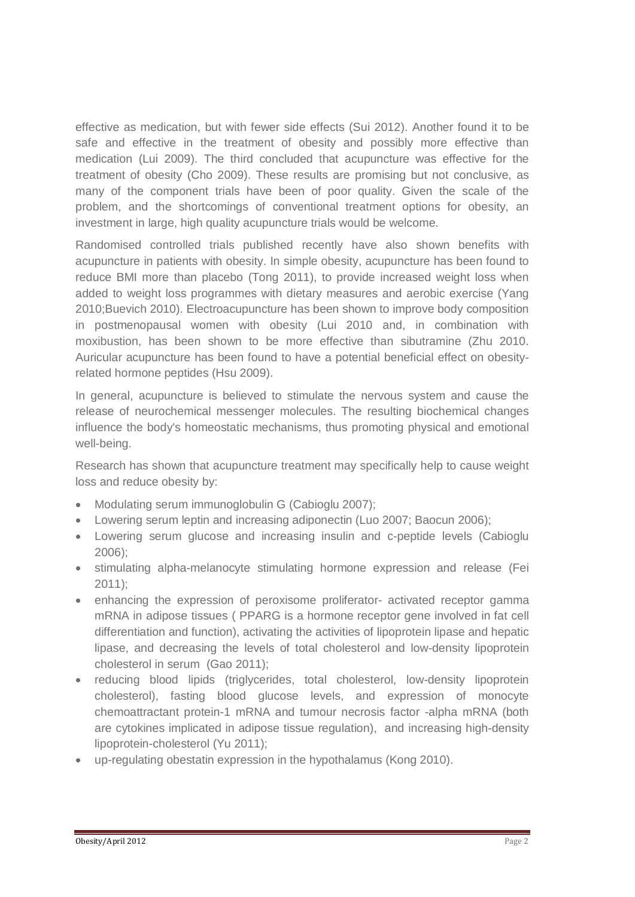effective as medication, but with fewer side effects (Sui 2012). Another found it to be safe and effective in the treatment of obesity and possibly more effective than medication (Lui 2009). The third concluded that acupuncture was effective for the treatment of obesity (Cho 2009). These results are promising but not conclusive, as many of the component trials have been of poor quality. Given the scale of the problem, and the shortcomings of conventional treatment options for obesity, an investment in large, high quality acupuncture trials would be welcome.

Randomised controlled trials published recently have also shown benefits with acupuncture in patients with obesity. In simple obesity, acupuncture has been found to reduce BMI more than placebo (Tong 2011), to provide increased weight loss when added to weight loss programmes with dietary measures and aerobic exercise (Yang 2010;Buevich 2010). Electroacupuncture has been shown to improve body composition in postmenopausal women with obesity (Lui 2010 and, in combination with moxibustion, has been shown to be more effective than sibutramine (Zhu 2010. Auricular acupuncture has been found to have a potential beneficial effect on obesityrelated hormone peptides (Hsu 2009).

In general, acupuncture is believed to stimulate the nervous system and cause the release of neurochemical messenger molecules. The resulting biochemical changes influence the body's homeostatic mechanisms, thus promoting physical and emotional well-being.

Research has shown that acupuncture treatment may specifically help to cause weight loss and reduce obesity by:

- · Modulating serum immunoglobulin G (Cabioglu 2007);
- · Lowering serum leptin and increasing adiponectin (Luo 2007; Baocun 2006);
- · Lowering serum glucose and increasing insulin and c-peptide levels (Cabioglu 2006);
- · stimulating alpha-melanocyte stimulating hormone expression and release (Fei 2011);
- · enhancing the expression of peroxisome proliferator- activated receptor gamma mRNA in adipose tissues ( PPARG is a hormone receptor gene involved in fat cell differentiation and function), activating the activities of lipoprotein lipase and hepatic lipase, and decreasing the levels of total cholesterol and low-density lipoprotein cholesterol in serum (Gao 2011);
- · reducing blood lipids (triglycerides, total cholesterol, low-density lipoprotein cholesterol), fasting blood glucose levels, and expression of monocyte chemoattractant protein-1 mRNA and tumour necrosis factor -alpha mRNA (both are cytokines implicated in adipose tissue regulation), and increasing high-density lipoprotein-cholesterol (Yu 2011);
- · up-regulating obestatin expression in the hypothalamus (Kong 2010).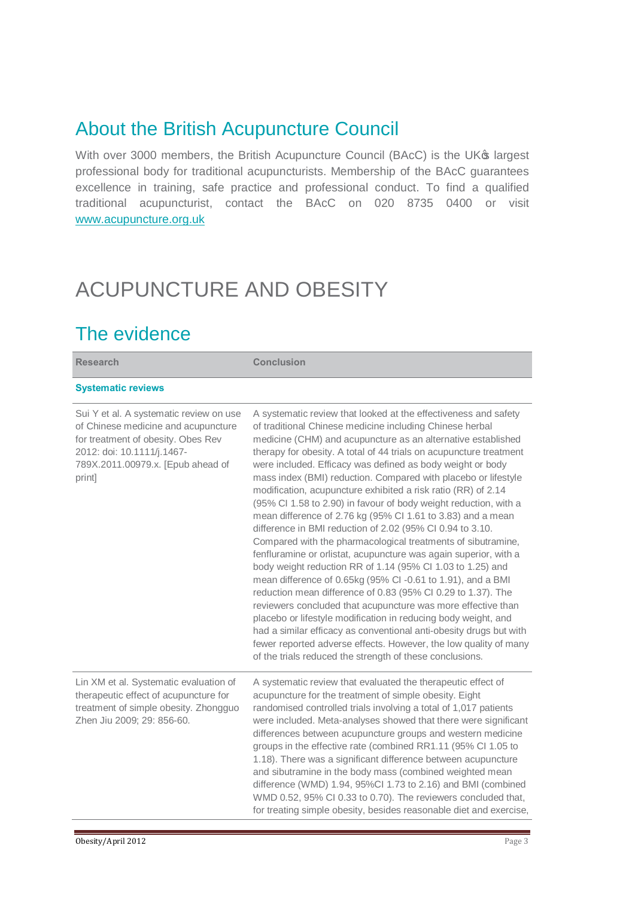## About the British Acupuncture Council

With over 3000 members, the British Acupuncture Council (BAcC) is the UK® largest professional body for traditional acupuncturists. Membership of the BAcC guarantees excellence in training, safe practice and professional conduct. To find a qualified traditional acupuncturist, contact the BAcC on 020 8735 0400 or visit [www.acupuncture.org.uk](http://www.acupuncture.org.uk/)

# ACUPUNCTURE AND OBESITY

## The evidence

| <b>Research</b>                                                                                                                                                                                   | <b>Conclusion</b>                                                                                                                                                                                                                                                                                                                                                                                                                                                                                                                                                                                                                                                                                                                                                                                                                                                                                                                                                                                                                                                                                                                                                                                                                                                                                                                          |
|---------------------------------------------------------------------------------------------------------------------------------------------------------------------------------------------------|--------------------------------------------------------------------------------------------------------------------------------------------------------------------------------------------------------------------------------------------------------------------------------------------------------------------------------------------------------------------------------------------------------------------------------------------------------------------------------------------------------------------------------------------------------------------------------------------------------------------------------------------------------------------------------------------------------------------------------------------------------------------------------------------------------------------------------------------------------------------------------------------------------------------------------------------------------------------------------------------------------------------------------------------------------------------------------------------------------------------------------------------------------------------------------------------------------------------------------------------------------------------------------------------------------------------------------------------|
| <b>Systematic reviews</b>                                                                                                                                                                         |                                                                                                                                                                                                                                                                                                                                                                                                                                                                                                                                                                                                                                                                                                                                                                                                                                                                                                                                                                                                                                                                                                                                                                                                                                                                                                                                            |
| Sui Y et al. A systematic review on use<br>of Chinese medicine and acupuncture<br>for treatment of obesity. Obes Rev<br>2012: doi: 10.1111/j.1467-<br>789X.2011.00979.x. [Epub ahead of<br>print] | A systematic review that looked at the effectiveness and safety<br>of traditional Chinese medicine including Chinese herbal<br>medicine (CHM) and acupuncture as an alternative established<br>therapy for obesity. A total of 44 trials on acupuncture treatment<br>were included. Efficacy was defined as body weight or body<br>mass index (BMI) reduction. Compared with placebo or lifestyle<br>modification, acupuncture exhibited a risk ratio (RR) of 2.14<br>(95% Cl 1.58 to 2.90) in favour of body weight reduction, with a<br>mean difference of 2.76 kg (95% CI 1.61 to 3.83) and a mean<br>difference in BMI reduction of 2.02 (95% CI 0.94 to 3.10.<br>Compared with the pharmacological treatments of sibutramine,<br>fenfluramine or orlistat, acupuncture was again superior, with a<br>body weight reduction RR of 1.14 (95% Cl 1.03 to 1.25) and<br>mean difference of 0.65kg (95% CI-0.61 to 1.91), and a BMI<br>reduction mean difference of 0.83 (95% CI 0.29 to 1.37). The<br>reviewers concluded that acupuncture was more effective than<br>placebo or lifestyle modification in reducing body weight, and<br>had a similar efficacy as conventional anti-obesity drugs but with<br>fewer reported adverse effects. However, the low quality of many<br>of the trials reduced the strength of these conclusions. |
| Lin XM et al. Systematic evaluation of<br>therapeutic effect of acupuncture for<br>treatment of simple obesity. Zhongguo<br>Zhen Jiu 2009; 29: 856-60.                                            | A systematic review that evaluated the therapeutic effect of<br>acupuncture for the treatment of simple obesity. Eight<br>randomised controlled trials involving a total of 1,017 patients<br>were included. Meta-analyses showed that there were significant<br>differences between acupuncture groups and western medicine<br>groups in the effective rate (combined RR1.11 (95% CI 1.05 to<br>1.18). There was a significant difference between acupuncture<br>and sibutramine in the body mass (combined weighted mean<br>difference (WMD) 1.94, 95%Cl 1.73 to 2.16) and BMI (combined<br>WMD 0.52, 95% CI 0.33 to 0.70). The reviewers concluded that,<br>for treating simple obesity, besides reasonable diet and exercise,                                                                                                                                                                                                                                                                                                                                                                                                                                                                                                                                                                                                          |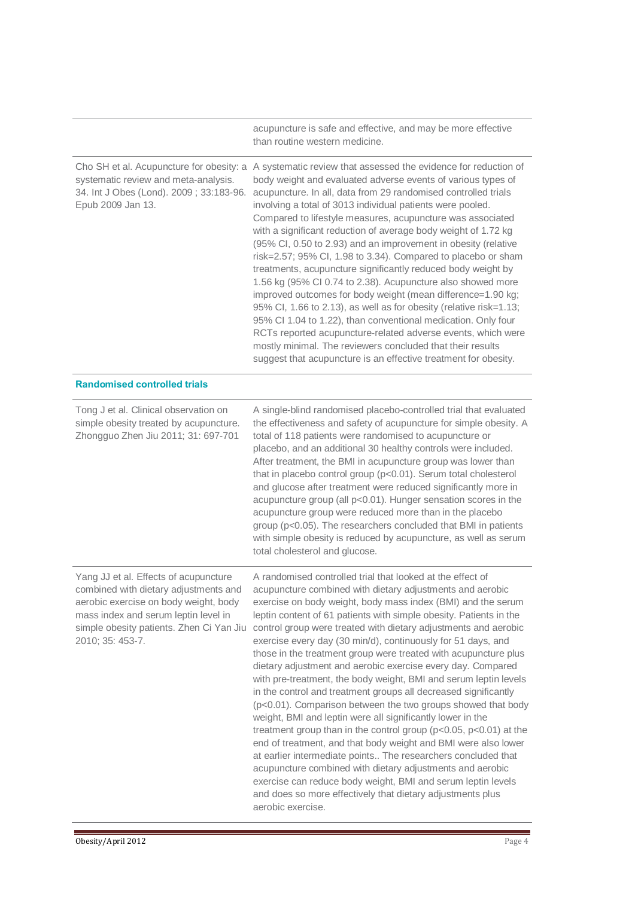|                                                                                                                                                                                                                                 | acupuncture is safe and effective, and may be more effective<br>than routine western medicine.                                                                                                                                                                                                                                                                                                                                                                                                                                                                                                                                                                                                                                                                                                                                                                                                                                                                                                                                                                                                                                                                                                                                         |
|---------------------------------------------------------------------------------------------------------------------------------------------------------------------------------------------------------------------------------|----------------------------------------------------------------------------------------------------------------------------------------------------------------------------------------------------------------------------------------------------------------------------------------------------------------------------------------------------------------------------------------------------------------------------------------------------------------------------------------------------------------------------------------------------------------------------------------------------------------------------------------------------------------------------------------------------------------------------------------------------------------------------------------------------------------------------------------------------------------------------------------------------------------------------------------------------------------------------------------------------------------------------------------------------------------------------------------------------------------------------------------------------------------------------------------------------------------------------------------|
| systematic review and meta-analysis.<br>34. Int J Obes (Lond). 2009; 33:183-96.<br>Epub 2009 Jan 13.                                                                                                                            | Cho SH et al. Acupuncture for obesity: a A systematic review that assessed the evidence for reduction of<br>body weight and evaluated adverse events of various types of<br>acupuncture. In all, data from 29 randomised controlled trials<br>involving a total of 3013 individual patients were pooled.<br>Compared to lifestyle measures, acupuncture was associated<br>with a significant reduction of average body weight of 1.72 kg<br>(95% Cl, 0.50 to 2.93) and an improvement in obesity (relative<br>risk=2.57; 95% Cl, 1.98 to 3.34). Compared to placebo or sham<br>treatments, acupuncture significantly reduced body weight by<br>1.56 kg (95% Cl 0.74 to 2.38). Acupuncture also showed more<br>improved outcomes for body weight (mean difference=1.90 kg;<br>95% Cl, 1.66 to 2.13), as well as for obesity (relative risk=1.13;<br>95% Cl 1.04 to 1.22), than conventional medication. Only four<br>RCTs reported acupuncture-related adverse events, which were<br>mostly minimal. The reviewers concluded that their results<br>suggest that acupuncture is an effective treatment for obesity.                                                                                                                      |
| <b>Randomised controlled trials</b>                                                                                                                                                                                             |                                                                                                                                                                                                                                                                                                                                                                                                                                                                                                                                                                                                                                                                                                                                                                                                                                                                                                                                                                                                                                                                                                                                                                                                                                        |
| Tong J et al. Clinical observation on<br>simple obesity treated by acupuncture.<br>Zhongguo Zhen Jiu 2011; 31: 697-701                                                                                                          | A single-blind randomised placebo-controlled trial that evaluated<br>the effectiveness and safety of acupuncture for simple obesity. A<br>total of 118 patients were randomised to acupuncture or<br>placebo, and an additional 30 healthy controls were included.<br>After treatment, the BMI in acupuncture group was lower than<br>that in placebo control group (p<0.01). Serum total cholesterol<br>and glucose after treatment were reduced significantly more in<br>acupuncture group (all p<0.01). Hunger sensation scores in the<br>acupuncture group were reduced more than in the placebo<br>group (p<0.05). The researchers concluded that BMI in patients<br>with simple obesity is reduced by acupuncture, as well as serum<br>total cholesterol and glucose.                                                                                                                                                                                                                                                                                                                                                                                                                                                            |
| Yang JJ et al. Effects of acupuncture<br>combined with dietary adjustments and<br>aerobic exercise on body weight, body<br>mass index and serum leptin level in<br>simple obesity patients. Zhen Ci Yan Jiu<br>2010; 35: 453-7. | A randomised controlled trial that looked at the effect of<br>acupuncture combined with dietary adjustments and aerobic<br>exercise on body weight, body mass index (BMI) and the serum<br>leptin content of 61 patients with simple obesity. Patients in the<br>control group were treated with dietary adjustments and aerobic<br>exercise every day (30 min/d), continuously for 51 days, and<br>those in the treatment group were treated with acupuncture plus<br>dietary adjustment and aerobic exercise every day. Compared<br>with pre-treatment, the body weight, BMI and serum leptin levels<br>in the control and treatment groups all decreased significantly<br>(p<0.01). Comparison between the two groups showed that body<br>weight, BMI and leptin were all significantly lower in the<br>treatment group than in the control group ( $p<0.05$ , $p<0.01$ ) at the<br>end of treatment, and that body weight and BMI were also lower<br>at earlier intermediate points The researchers concluded that<br>acupuncture combined with dietary adjustments and aerobic<br>exercise can reduce body weight, BMI and serum leptin levels<br>and does so more effectively that dietary adjustments plus<br>aerobic exercise. |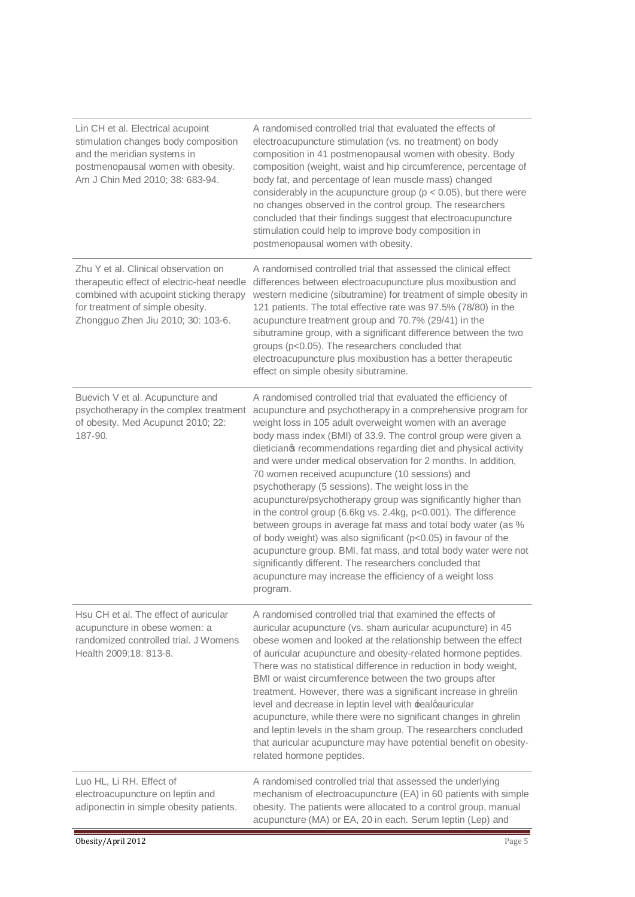| Lin CH et al. Electrical acupoint<br>stimulation changes body composition<br>and the meridian systems in<br>postmenopausal women with obesity.<br>Am J Chin Med 2010; 38: 683-94.                       | A randomised controlled trial that evaluated the effects of<br>electroacupuncture stimulation (vs. no treatment) on body<br>composition in 41 postmenopausal women with obesity. Body<br>composition (weight, waist and hip circumference, percentage of<br>body fat, and percentage of lean muscle mass) changed<br>considerably in the acupuncture group ( $p < 0.05$ ), but there were<br>no changes observed in the control group. The researchers<br>concluded that their findings suggest that electroacupuncture<br>stimulation could help to improve body composition in<br>postmenopausal women with obesity.                                                                                                                                                                                                                                                                                                                                                                  |
|---------------------------------------------------------------------------------------------------------------------------------------------------------------------------------------------------------|-----------------------------------------------------------------------------------------------------------------------------------------------------------------------------------------------------------------------------------------------------------------------------------------------------------------------------------------------------------------------------------------------------------------------------------------------------------------------------------------------------------------------------------------------------------------------------------------------------------------------------------------------------------------------------------------------------------------------------------------------------------------------------------------------------------------------------------------------------------------------------------------------------------------------------------------------------------------------------------------|
| Zhu Y et al. Clinical observation on<br>therapeutic effect of electric-heat needle<br>combined with acupoint sticking therapy<br>for treatment of simple obesity.<br>Zhongguo Zhen Jiu 2010; 30: 103-6. | A randomised controlled trial that assessed the clinical effect<br>differences between electroacupuncture plus moxibustion and<br>western medicine (sibutramine) for treatment of simple obesity in<br>121 patients. The total effective rate was 97.5% (78/80) in the<br>acupuncture treatment group and 70.7% (29/41) in the<br>sibutramine group, with a significant difference between the two<br>groups (p<0.05). The researchers concluded that<br>electroacupuncture plus moxibustion has a better therapeutic<br>effect on simple obesity sibutramine.                                                                                                                                                                                                                                                                                                                                                                                                                          |
| Buevich V et al. Acupuncture and<br>psychotherapy in the complex treatment<br>of obesity. Med Acupunct 2010; 22:<br>187-90.                                                                             | A randomised controlled trial that evaluated the efficiency of<br>acupuncture and psychotherapy in a comprehensive program for<br>weight loss in 105 adult overweight women with an average<br>body mass index (BMI) of 33.9. The control group were given a<br>dieticianos recommendations regarding diet and physical activity<br>and were under medical observation for 2 months. In addition,<br>70 women received acupuncture (10 sessions) and<br>psychotherapy (5 sessions). The weight loss in the<br>acupuncture/psychotherapy group was significantly higher than<br>in the control group (6.6kg vs. 2.4kg, p<0.001). The difference<br>between groups in average fat mass and total body water (as %<br>of body weight) was also significant (p<0.05) in favour of the<br>acupuncture group. BMI, fat mass, and total body water were not<br>significantly different. The researchers concluded that<br>acupuncture may increase the efficiency of a weight loss<br>program. |
| Hsu CH et al. The effect of auricular<br>acupuncture in obese women: a<br>randomized controlled trial. J Womens<br>Health 2009;18: 813-8.                                                               | A randomised controlled trial that examined the effects of<br>auricular acupuncture (vs. sham auricular acupuncture) in 45<br>obese women and looked at the relationship between the effect<br>of auricular acupuncture and obesity-related hormone peptides.<br>There was no statistical difference in reduction in body weight,<br>BMI or waist circumference between the two groups after<br>treatment. However, there was a significant increase in ghrelin<br>level and decrease in leptin level with realqauricular<br>acupuncture, while there were no significant changes in ghrelin<br>and leptin levels in the sham group. The researchers concluded<br>that auricular acupuncture may have potential benefit on obesity-<br>related hormone peptides.                                                                                                                                                                                                                        |
| Luo HL, Li RH. Effect of<br>electroacupuncture on leptin and<br>adiponectin in simple obesity patients.                                                                                                 | A randomised controlled trial that assessed the underlying<br>mechanism of electroacupuncture (EA) in 60 patients with simple<br>obesity. The patients were allocated to a control group, manual<br>acupuncture (MA) or EA, 20 in each. Serum leptin (Lep) and                                                                                                                                                                                                                                                                                                                                                                                                                                                                                                                                                                                                                                                                                                                          |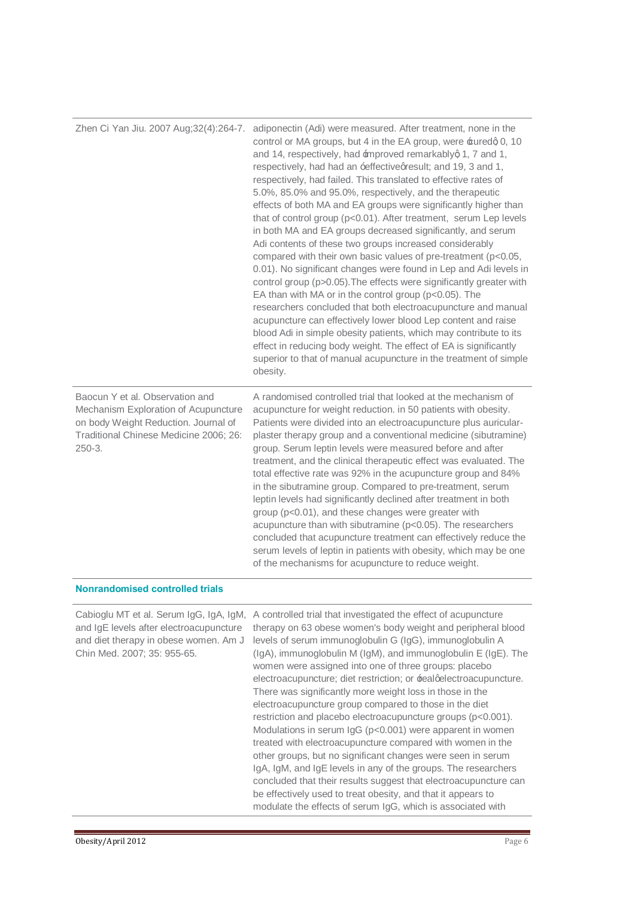| Zhen Ci Yan Jiu. 2007 Aug;32(4):264-7.                                                                                                                                | adiponectin (Adi) were measured. After treatment, none in the<br>control or MA groups, but 4 in the EA group, were £uredg 0, 10<br>and 14, respectively, had improved remarkablyg 1, 7 and 1,<br>respectively, had had an ±effective gresult; and 19, 3 and 1,<br>respectively, had failed. This translated to effective rates of<br>5.0%, 85.0% and 95.0%, respectively, and the therapeutic<br>effects of both MA and EA groups were significantly higher than<br>that of control group (p<0.01). After treatment, serum Lep levels<br>in both MA and EA groups decreased significantly, and serum<br>Adi contents of these two groups increased considerably<br>compared with their own basic values of pre-treatment (p<0.05,<br>0.01). No significant changes were found in Lep and Adi levels in<br>control group (p>0.05). The effects were significantly greater with<br>EA than with MA or in the control group (p<0.05). The<br>researchers concluded that both electroacupuncture and manual<br>acupuncture can effectively lower blood Lep content and raise<br>blood Adi in simple obesity patients, which may contribute to its<br>effect in reducing body weight. The effect of EA is significantly<br>superior to that of manual acupuncture in the treatment of simple<br>obesity. |
|-----------------------------------------------------------------------------------------------------------------------------------------------------------------------|-----------------------------------------------------------------------------------------------------------------------------------------------------------------------------------------------------------------------------------------------------------------------------------------------------------------------------------------------------------------------------------------------------------------------------------------------------------------------------------------------------------------------------------------------------------------------------------------------------------------------------------------------------------------------------------------------------------------------------------------------------------------------------------------------------------------------------------------------------------------------------------------------------------------------------------------------------------------------------------------------------------------------------------------------------------------------------------------------------------------------------------------------------------------------------------------------------------------------------------------------------------------------------------------------------|
| Baocun Y et al. Observation and<br>Mechanism Exploration of Acupuncture<br>on body Weight Reduction. Journal of<br>Traditional Chinese Medicine 2006; 26:<br>$250-3.$ | A randomised controlled trial that looked at the mechanism of<br>acupuncture for weight reduction. in 50 patients with obesity.<br>Patients were divided into an electroacupuncture plus auricular-<br>plaster therapy group and a conventional medicine (sibutramine)<br>group. Serum leptin levels were measured before and after<br>treatment, and the clinical therapeutic effect was evaluated. The<br>total effective rate was 92% in the acupuncture group and 84%<br>in the sibutramine group. Compared to pre-treatment, serum<br>leptin levels had significantly declined after treatment in both<br>group (p<0.01), and these changes were greater with<br>acupuncture than with sibutramine (p<0.05). The researchers<br>concluded that acupuncture treatment can effectively reduce the<br>serum levels of leptin in patients with obesity, which may be one<br>of the mechanisms for acupuncture to reduce weight.                                                                                                                                                                                                                                                                                                                                                                    |

#### **Nonrandomised controlled trials**

| Cabioglu MT et al. Serum IgG, IgA, IgM,<br>and IgE levels after electroacupuncture<br>and diet therapy in obese women. Am J<br>Chin Med. 2007; 35: 955-65. | A controlled trial that investigated the effect of acupuncture<br>therapy on 63 obese women's body weight and peripheral blood<br>levels of serum immunoglobulin G (IgG), immunoglobulin A<br>$(lg A)$ , immunoglobulin M $(lg M)$ , and immunoglobulin E $(lg E)$ . The<br>women were assigned into one of three groups: placebo<br>electroacupuncture; diet restriction; or ±ealqelectroacupuncture.<br>There was significantly more weight loss in those in the<br>electroacupuncture group compared to those in the diet<br>restriction and placebo electroacupuncture groups (p<0.001).<br>Modulations in serum $log (p<0.001)$ were apparent in women<br>treated with electroacupuncture compared with women in the<br>other groups, but no significant changes were seen in serum<br>IgA, IgM, and IgE levels in any of the groups. The researchers<br>concluded that their results suggest that electroacupuncture can |
|------------------------------------------------------------------------------------------------------------------------------------------------------------|--------------------------------------------------------------------------------------------------------------------------------------------------------------------------------------------------------------------------------------------------------------------------------------------------------------------------------------------------------------------------------------------------------------------------------------------------------------------------------------------------------------------------------------------------------------------------------------------------------------------------------------------------------------------------------------------------------------------------------------------------------------------------------------------------------------------------------------------------------------------------------------------------------------------------------|
|                                                                                                                                                            | be effectively used to treat obesity, and that it appears to                                                                                                                                                                                                                                                                                                                                                                                                                                                                                                                                                                                                                                                                                                                                                                                                                                                                   |
|                                                                                                                                                            | modulate the effects of serum IgG, which is associated with                                                                                                                                                                                                                                                                                                                                                                                                                                                                                                                                                                                                                                                                                                                                                                                                                                                                    |